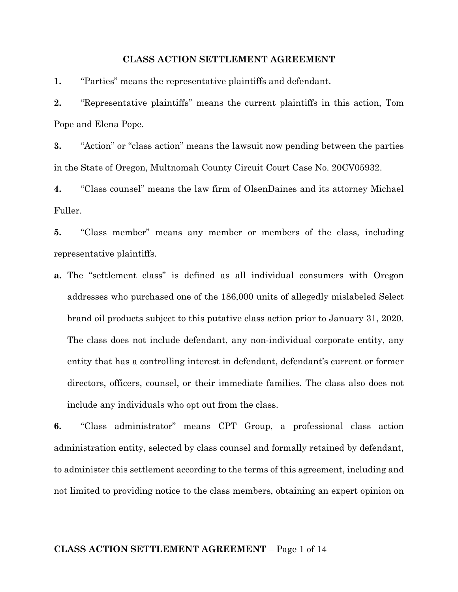# **CLASS ACTION SETTLEMENT AGREEMENT**

**1.** "Parties" means the representative plaintiffs and defendant.

**2.** "Representative plaintiffs" means the current plaintiffs in this action, Tom Pope and Elena Pope.

**3.** "Action" or "class action" means the lawsuit now pending between the parties in the State of Oregon, Multnomah County Circuit Court Case No. 20CV05932.

**4.** "Class counsel" means the law firm of OlsenDaines and its attorney Michael Fuller.

**5.** "Class member" means any member or members of the class, including representative plaintiffs.

**a.** The "settlement class" is defined as all individual consumers with Oregon addresses who purchased one of the 186,000 units of allegedly mislabeled Select brand oil products subject to this putative class action prior to January 31, 2020. The class does not include defendant, any non-individual corporate entity, any entity that has a controlling interest in defendant, defendant's current or former directors, officers, counsel, or their immediate families. The class also does not include any individuals who opt out from the class.

**6.** "Class administrator" means CPT Group, a professional class action administration entity, selected by class counsel and formally retained by defendant, to administer this settlement according to the terms of this agreement, including and not limited to providing notice to the class members, obtaining an expert opinion on

### **CLASS ACTION SETTLEMENT AGREEMENT** – Page 1 of 14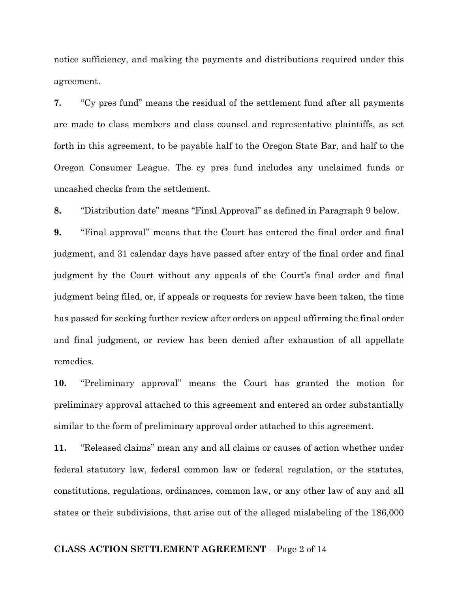notice sufficiency, and making the payments and distributions required under this agreement.

**7.** "Cy pres fund" means the residual of the settlement fund after all payments are made to class members and class counsel and representative plaintiffs, as set forth in this agreement, to be payable half to the Oregon State Bar, and half to the Oregon Consumer League. The cy pres fund includes any unclaimed funds or uncashed checks from the settlement.

**8.** "Distribution date" means "Final Approval" as defined in Paragraph 9 below.

**9.** "Final approval" means that the Court has entered the final order and final judgment, and 31 calendar days have passed after entry of the final order and final judgment by the Court without any appeals of the Court's final order and final judgment being filed, or, if appeals or requests for review have been taken, the time has passed for seeking further review after orders on appeal affirming the final order and final judgment, or review has been denied after exhaustion of all appellate remedies.

**10.** "Preliminary approval" means the Court has granted the motion for preliminary approval attached to this agreement and entered an order substantially similar to the form of preliminary approval order attached to this agreement.

**11.** "Released claims" mean any and all claims or causes of action whether under federal statutory law, federal common law or federal regulation, or the statutes, constitutions, regulations, ordinances, common law, or any other law of any and all states or their subdivisions, that arise out of the alleged mislabeling of the 186,000

## **CLASS ACTION SETTLEMENT AGREEMENT** – Page 2 of 14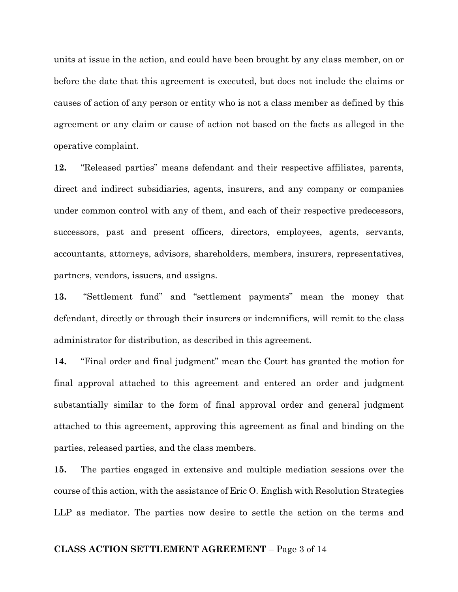units at issue in the action, and could have been brought by any class member, on or before the date that this agreement is executed, but does not include the claims or causes of action of any person or entity who is not a class member as defined by this agreement or any claim or cause of action not based on the facts as alleged in the operative complaint.

**12.** "Released parties" means defendant and their respective affiliates, parents, direct and indirect subsidiaries, agents, insurers, and any company or companies under common control with any of them, and each of their respective predecessors, successors, past and present officers, directors, employees, agents, servants, accountants, attorneys, advisors, shareholders, members, insurers, representatives, partners, vendors, issuers, and assigns.

**13.** "Settlement fund" and "settlement payments" mean the money that defendant, directly or through their insurers or indemnifiers, will remit to the class administrator for distribution, as described in this agreement.

**14.** "Final order and final judgment" mean the Court has granted the motion for final approval attached to this agreement and entered an order and judgment substantially similar to the form of final approval order and general judgment attached to this agreement, approving this agreement as final and binding on the parties, released parties, and the class members.

**15.** The parties engaged in extensive and multiple mediation sessions over the course of this action, with the assistance of Eric O. English with Resolution Strategies LLP as mediator. The parties now desire to settle the action on the terms and

### **CLASS ACTION SETTLEMENT AGREEMENT** – Page 3 of 14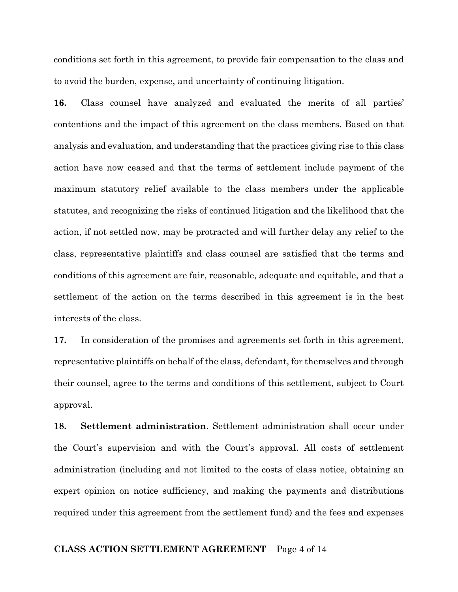conditions set forth in this agreement, to provide fair compensation to the class and to avoid the burden, expense, and uncertainty of continuing litigation.

**16.** Class counsel have analyzed and evaluated the merits of all parties' contentions and the impact of this agreement on the class members. Based on that analysis and evaluation, and understanding that the practices giving rise to this class action have now ceased and that the terms of settlement include payment of the maximum statutory relief available to the class members under the applicable statutes, and recognizing the risks of continued litigation and the likelihood that the action, if not settled now, may be protracted and will further delay any relief to the class, representative plaintiffs and class counsel are satisfied that the terms and conditions of this agreement are fair, reasonable, adequate and equitable, and that a settlement of the action on the terms described in this agreement is in the best interests of the class.

**17.** In consideration of the promises and agreements set forth in this agreement, representative plaintiffs on behalf of the class, defendant, for themselves and through their counsel, agree to the terms and conditions of this settlement, subject to Court approval.

**18. Settlement administration**. Settlement administration shall occur under the Court's supervision and with the Court's approval. All costs of settlement administration (including and not limited to the costs of class notice, obtaining an expert opinion on notice sufficiency, and making the payments and distributions required under this agreement from the settlement fund) and the fees and expenses

### **CLASS ACTION SETTLEMENT AGREEMENT** – Page 4 of 14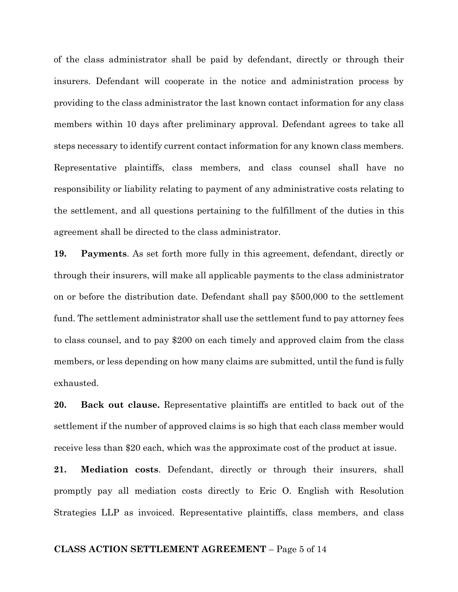of the class administrator shall be paid by defendant, directly or through their insurers. Defendant will cooperate in the notice and administration process by providing to the class administrator the last known contact information for any class members within 10 days after preliminary approval. Defendant agrees to take all steps necessary to identify current contact information for any known class members. Representative plaintiffs, class members, and class counsel shall have no responsibility or liability relating to payment of any administrative costs relating to the settlement, and all questions pertaining to the fulfillment of the duties in this agreement shall be directed to the class administrator.

**19. Payments**. As set forth more fully in this agreement, defendant, directly or through their insurers, will make all applicable payments to the class administrator on or before the distribution date. Defendant shall pay \$500,000 to the settlement fund. The settlement administrator shall use the settlement fund to pay attorney fees to class counsel, and to pay \$200 on each timely and approved claim from the class members, or less depending on how many claims are submitted, until the fund is fully exhausted.

**20. Back out clause.** Representative plaintiffs are entitled to back out of the settlement if the number of approved claims is so high that each class member would receive less than \$20 each, which was the approximate cost of the product at issue.

**21. Mediation costs**. Defendant, directly or through their insurers, shall promptly pay all mediation costs directly to Eric O. English with Resolution Strategies LLP as invoiced. Representative plaintiffs, class members, and class

### **CLASS ACTION SETTLEMENT AGREEMENT** – Page 5 of 14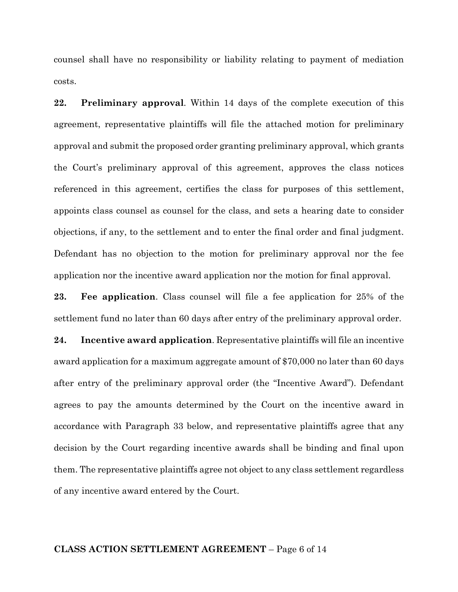counsel shall have no responsibility or liability relating to payment of mediation costs.

**22. Preliminary approval**. Within 14 days of the complete execution of this agreement, representative plaintiffs will file the attached motion for preliminary approval and submit the proposed order granting preliminary approval, which grants the Court's preliminary approval of this agreement, approves the class notices referenced in this agreement, certifies the class for purposes of this settlement, appoints class counsel as counsel for the class, and sets a hearing date to consider objections, if any, to the settlement and to enter the final order and final judgment. Defendant has no objection to the motion for preliminary approval nor the fee application nor the incentive award application nor the motion for final approval.

**23. Fee application**. Class counsel will file a fee application for 25% of the settlement fund no later than 60 days after entry of the preliminary approval order.

**24. Incentive award application**. Representative plaintiffs will file an incentive award application for a maximum aggregate amount of \$70,000 no later than 60 days after entry of the preliminary approval order (the "Incentive Award"). Defendant agrees to pay the amounts determined by the Court on the incentive award in accordance with Paragraph 33 below, and representative plaintiffs agree that any decision by the Court regarding incentive awards shall be binding and final upon them. The representative plaintiffs agree not object to any class settlement regardless of any incentive award entered by the Court.

## **CLASS ACTION SETTLEMENT AGREEMENT** – Page 6 of 14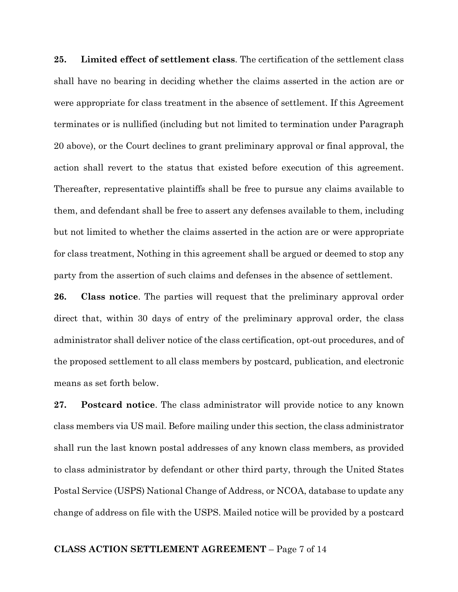**25. Limited effect of settlement class**. The certification of the settlement class shall have no bearing in deciding whether the claims asserted in the action are or were appropriate for class treatment in the absence of settlement. If this Agreement terminates or is nullified (including but not limited to termination under Paragraph 20 above), or the Court declines to grant preliminary approval or final approval, the action shall revert to the status that existed before execution of this agreement. Thereafter, representative plaintiffs shall be free to pursue any claims available to them, and defendant shall be free to assert any defenses available to them, including but not limited to whether the claims asserted in the action are or were appropriate for class treatment, Nothing in this agreement shall be argued or deemed to stop any party from the assertion of such claims and defenses in the absence of settlement.

**26. Class notice**. The parties will request that the preliminary approval order direct that, within 30 days of entry of the preliminary approval order, the class administrator shall deliver notice of the class certification, opt-out procedures, and of the proposed settlement to all class members by postcard, publication, and electronic means as set forth below.

**27. Postcard notice**. The class administrator will provide notice to any known class members via US mail. Before mailing under this section, the class administrator shall run the last known postal addresses of any known class members, as provided to class administrator by defendant or other third party, through the United States Postal Service (USPS) National Change of Address, or NCOA, database to update any change of address on file with the USPS. Mailed notice will be provided by a postcard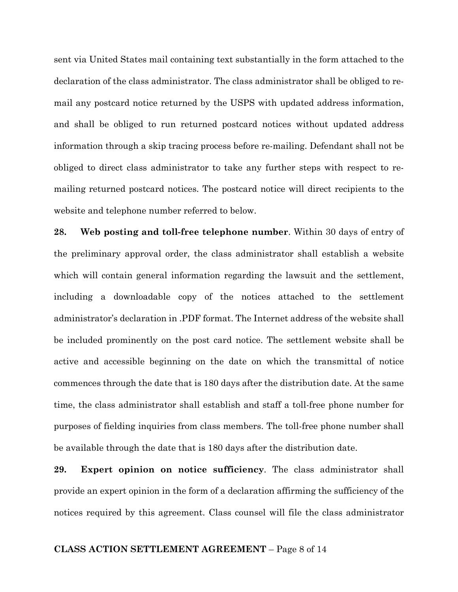sent via United States mail containing text substantially in the form attached to the declaration of the class administrator. The class administrator shall be obliged to remail any postcard notice returned by the USPS with updated address information, and shall be obliged to run returned postcard notices without updated address information through a skip tracing process before re-mailing. Defendant shall not be obliged to direct class administrator to take any further steps with respect to remailing returned postcard notices. The postcard notice will direct recipients to the website and telephone number referred to below.

**28. Web posting and toll-free telephone number**. Within 30 days of entry of the preliminary approval order, the class administrator shall establish a website which will contain general information regarding the lawsuit and the settlement, including a downloadable copy of the notices attached to the settlement administrator's declaration in .PDF format. The Internet address of the website shall be included prominently on the post card notice. The settlement website shall be active and accessible beginning on the date on which the transmittal of notice commences through the date that is 180 days after the distribution date. At the same time, the class administrator shall establish and staff a toll-free phone number for purposes of fielding inquiries from class members. The toll-free phone number shall be available through the date that is 180 days after the distribution date.

**29. Expert opinion on notice sufficiency**. The class administrator shall provide an expert opinion in the form of a declaration affirming the sufficiency of the notices required by this agreement. Class counsel will file the class administrator

### **CLASS ACTION SETTLEMENT AGREEMENT** – Page 8 of 14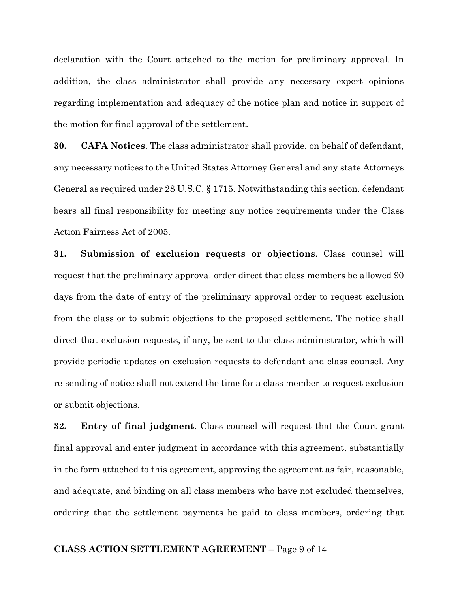declaration with the Court attached to the motion for preliminary approval. In addition, the class administrator shall provide any necessary expert opinions regarding implementation and adequacy of the notice plan and notice in support of the motion for final approval of the settlement.

**30. CAFA Notices**. The class administrator shall provide, on behalf of defendant, any necessary notices to the United States Attorney General and any state Attorneys General as required under 28 U.S.C. § 1715. Notwithstanding this section, defendant bears all final responsibility for meeting any notice requirements under the Class Action Fairness Act of 2005.

**31. Submission of exclusion requests or objections**. Class counsel will request that the preliminary approval order direct that class members be allowed 90 days from the date of entry of the preliminary approval order to request exclusion from the class or to submit objections to the proposed settlement. The notice shall direct that exclusion requests, if any, be sent to the class administrator, which will provide periodic updates on exclusion requests to defendant and class counsel. Any re-sending of notice shall not extend the time for a class member to request exclusion or submit objections.

**32. Entry of final judgment**. Class counsel will request that the Court grant final approval and enter judgment in accordance with this agreement, substantially in the form attached to this agreement, approving the agreement as fair, reasonable, and adequate, and binding on all class members who have not excluded themselves, ordering that the settlement payments be paid to class members, ordering that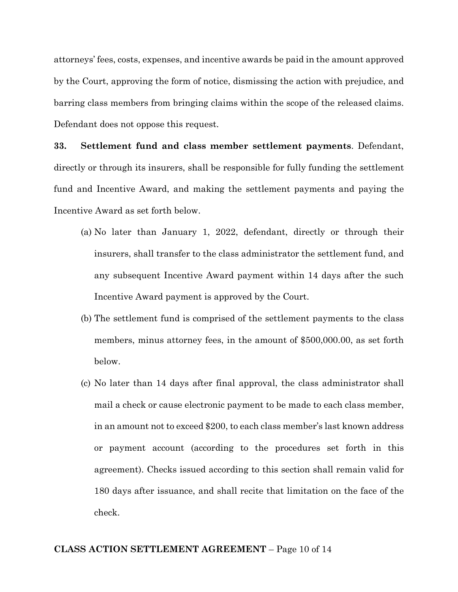attorneys' fees, costs, expenses, and incentive awards be paid in the amount approved by the Court, approving the form of notice, dismissing the action with prejudice, and barring class members from bringing claims within the scope of the released claims. Defendant does not oppose this request.

**33. Settlement fund and class member settlement payments**. Defendant, directly or through its insurers, shall be responsible for fully funding the settlement fund and Incentive Award, and making the settlement payments and paying the Incentive Award as set forth below.

- (a) No later than January 1, 2022, defendant, directly or through their insurers, shall transfer to the class administrator the settlement fund, and any subsequent Incentive Award payment within 14 days after the such Incentive Award payment is approved by the Court.
- (b) The settlement fund is comprised of the settlement payments to the class members, minus attorney fees, in the amount of \$500,000.00, as set forth below.
- (c) No later than 14 days after final approval, the class administrator shall mail a check or cause electronic payment to be made to each class member, in an amount not to exceed \$200, to each class member's last known address or payment account (according to the procedures set forth in this agreement). Checks issued according to this section shall remain valid for 180 days after issuance, and shall recite that limitation on the face of the check.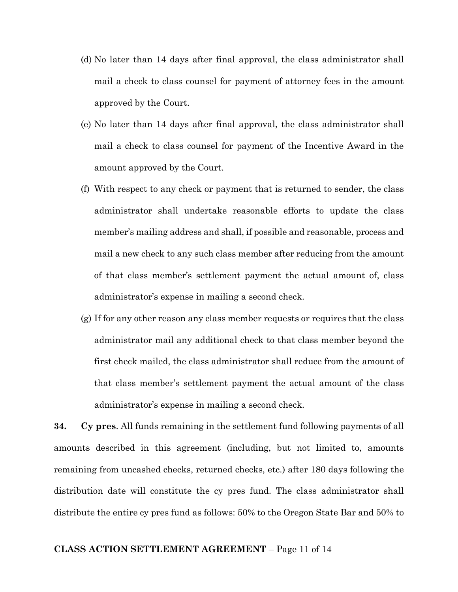- (d) No later than 14 days after final approval, the class administrator shall mail a check to class counsel for payment of attorney fees in the amount approved by the Court.
- (e) No later than 14 days after final approval, the class administrator shall mail a check to class counsel for payment of the Incentive Award in the amount approved by the Court.
- (f) With respect to any check or payment that is returned to sender, the class administrator shall undertake reasonable efforts to update the class member's mailing address and shall, if possible and reasonable, process and mail a new check to any such class member after reducing from the amount of that class member's settlement payment the actual amount of, class administrator's expense in mailing a second check.
- (g) If for any other reason any class member requests or requires that the class administrator mail any additional check to that class member beyond the first check mailed, the class administrator shall reduce from the amount of that class member's settlement payment the actual amount of the class administrator's expense in mailing a second check.

**34. Cy pres**. All funds remaining in the settlement fund following payments of all amounts described in this agreement (including, but not limited to, amounts remaining from uncashed checks, returned checks, etc.) after 180 days following the distribution date will constitute the cy pres fund. The class administrator shall distribute the entire cy pres fund as follows: 50% to the Oregon State Bar and 50% to

## **CLASS ACTION SETTLEMENT AGREEMENT** – Page 11 of 14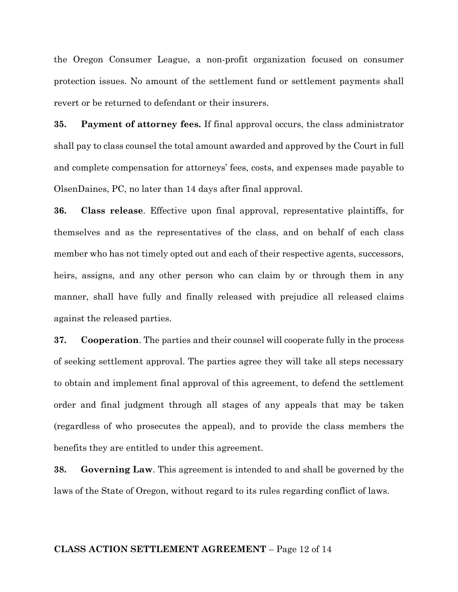the Oregon Consumer League, a non-profit organization focused on consumer protection issues. No amount of the settlement fund or settlement payments shall revert or be returned to defendant or their insurers.

**35. Payment of attorney fees.** If final approval occurs, the class administrator shall pay to class counsel the total amount awarded and approved by the Court in full and complete compensation for attorneys' fees, costs, and expenses made payable to OlsenDaines, PC, no later than 14 days after final approval.

**36. Class release**. Effective upon final approval, representative plaintiffs, for themselves and as the representatives of the class, and on behalf of each class member who has not timely opted out and each of their respective agents, successors, heirs, assigns, and any other person who can claim by or through them in any manner, shall have fully and finally released with prejudice all released claims against the released parties.

**37. Cooperation**. The parties and their counsel will cooperate fully in the process of seeking settlement approval. The parties agree they will take all steps necessary to obtain and implement final approval of this agreement, to defend the settlement order and final judgment through all stages of any appeals that may be taken (regardless of who prosecutes the appeal), and to provide the class members the benefits they are entitled to under this agreement.

**38. Governing Law**. This agreement is intended to and shall be governed by the laws of the State of Oregon, without regard to its rules regarding conflict of laws.

#### **CLASS ACTION SETTLEMENT AGREEMENT** – Page 12 of 14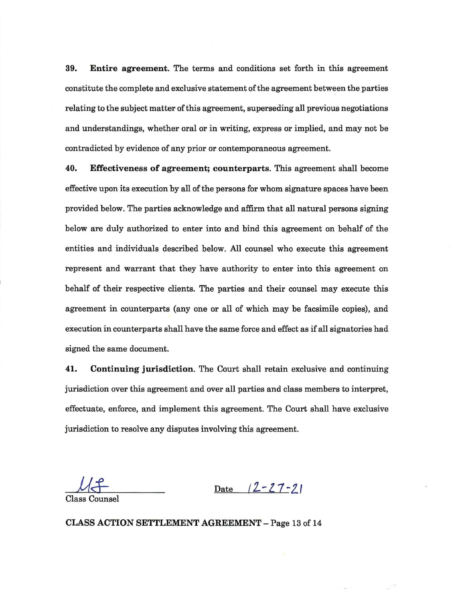**39. Entire agreement.** The terms and conditions set forth in this agreement constitute the complete and exclusive statement of the agreement between the parties relating to the subject matter of this agreement, superseding all previous negotiations and understandings, whether oral or in writing, express or implied, and may not be contradicted by evidence of any prior or contemporaneous agreement.

**40. Effectiveness of agreement; counterparts.** This agreement shall become effective upon its execution by all of the persons for whom signature spaces have been provided below. The parties acknowledge and affirm that all natural persons signing below are duly authorized to enter into and bind this agreement on behalf of the entities and individuals described below. All counsel who execute this agreement represent and warrant that they have authority to enter into this agreement on behalf of their respective clients. The parties and their counsel may execute this agreement in counterparts (any one or all of which may be facsimile copies), and execution in counterparts shall have the same force and effect as if all signatories had signed the same document.

**41. Continuing jurisdiction.** The Court shall retain exclusive and continuing jurisdiction over this agreement and over all parties and class members to interpret, effectuate, enforce, and implement this agreement. The Court shall have exclusive jurisdiction to resolve any disputes involving this agreement.

 $Uf$ 

Date  $12 - 27 - 21$ 

Class Counsel

**CLASS ACTION SETTLEMENT AGREEMENT-** Page 13 of 14